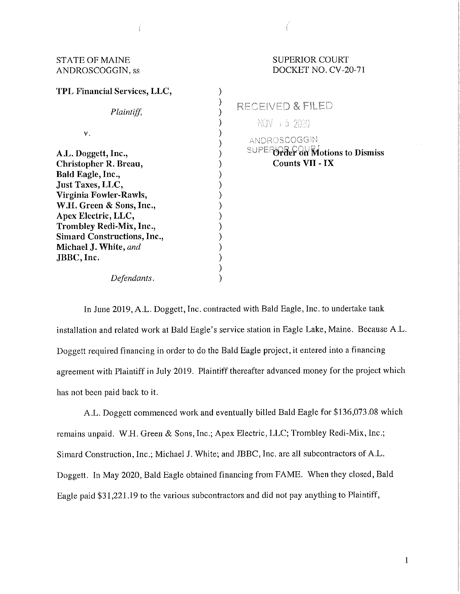# STATE OF MAINE SUPERIOR COURT

| TPL Financial Services, LLC,                                                                                                                                                                                                         |  |  |
|--------------------------------------------------------------------------------------------------------------------------------------------------------------------------------------------------------------------------------------|--|--|
| Plaintiff,                                                                                                                                                                                                                           |  |  |
| ν.                                                                                                                                                                                                                                   |  |  |
| A.L. Doggett, Inc.,<br>Christopher R. Breau,<br>Bald Eagle, Inc.,<br>Just Taxes, LLC,<br>Virginia Fowler-Rawls,<br>W.H. Green & Sons, Inc.,<br>Apex Electric, LLC,<br>Trombley Redi-Mix, Inc.,<br><b>Simard Constructions, Inc.,</b> |  |  |
| Michael J. White, and<br>JBBC, Inc.                                                                                                                                                                                                  |  |  |

*Defendants.* 

# ANDROSCOGGIN, ss DOCKET NO. CV-20-71

RECEIVED & FILED

NOV : 5 2020

ANDROSCOGGIN **SUPER GREE ON Motions to Dismiss Counts VII** · **IX** 

In June 2019, A.L. Doggett, Inc. contracted with Bald Eagle, Inc. to undertake tank installation and related work at Bald Eagle's service station in Eagle Lake, Maine. Because A.L. Doggett required financing in order to do the Bald Eagle project, it entered into a financing agreement with Plaintiff in July 2019. Plaintiff thereafter advanced money for the project which has not been paid back to it.

)

)<br>)

) ) ) ) ) ) ) ) ) ) ) ) ) ) )  $\lambda$ 

A.L. Doggett commenced work and eventually billed Bald Eagle for \$136,073.08 which remains unpaid. W.H. Green & Sons, Inc.; Apex Electric, LLC; Trombley Redi-Mix, Inc.; Simard Construction, Inc.; Michael J. White; and JBBC, Inc. are all subcontractors of A.L. Doggett. In May 2020, Bald Eagle obtained financing from FAME. When they closed, Bald Eagle paid \$31,221.19 to the various subcontractors and did not pay anything to Plaintiff,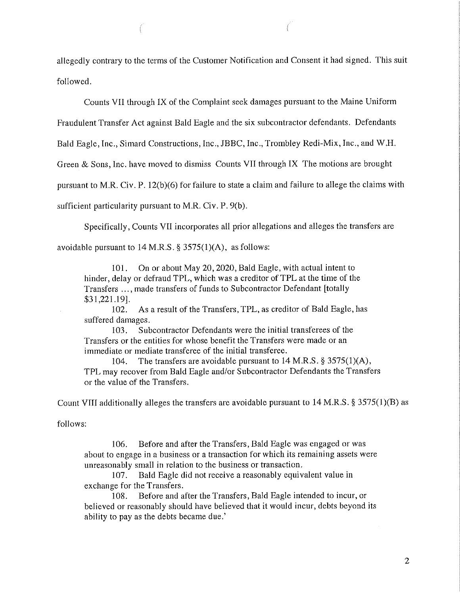allegedly contrary to the terms of the Customer Notification and Consent it had signed. This suit followed.

Counts VII through IX of the Complaint seek damages pursuant to the Maine Uniform

Fraudulent Transfer Act against Bald Eagle and the six subcontractor defendants. Defendants

Bald Eagle, Inc., Simard Constructions, Inc., JBBC, Inc., Trombley Redi-Mix, Inc., and W.H.

Green & Sons, Inc. have moved to dismiss Counts VII through IX The motions are brought

pursuant to M.R. Civ. P. 12(b)(6) for failure to state a claim and failure to allege the claims with

sufficient particularity pursuant to M.R. Civ. P. 9(b).

Specifically, Counts VII incorporates all prior allegations and alleges the transfers are

avoidable pursuant to  $14$  M.R.S. § 3575(1)(A), as follows:

101. On or about May 20, 2020, Bald Eagle, with actual intent to hinder, delay or defraud TPL, which was a creditor of TPL at the time of the Transfers ... , made transfers of funds to Subcontractor Defendant [totally \$31,221.19].

102. As a result of the Transfers, TPL, as creditor of Bald Eagle, has suffered damages.

103. Subcontractor Defendants were the initial transferees of the Transfers or the entities for whose benefit the Transfers were made or an immediate or mediate transferee of the initial transferee.

104. The transfers are avoidable pursuant to 14 M.R.S. § 3575(1)(A), TPL may recover from Bald Eagle and/or Subcontractor Defendants the Transfers or the value of the Transfers.

Count VIII additionally alleges the transfers are avoidable pursuant to 14 M.R.S. § 3575(1)(B) as

follows:

106. Before and after the Transfers, Bald Eagle was engaged or was about to engage in a business or a transaction for which its remaining assets were unreasonably small in relation to the business or transaction.

107. Bald Eagle did not receive a reasonably equivalent value in exchange for the Transfers.

108. Before and after the Transfers, Bald Eagle intended to incur, or believed or reasonably should have believed that it would incur, debts beyond its ability to pay as the debts became due.'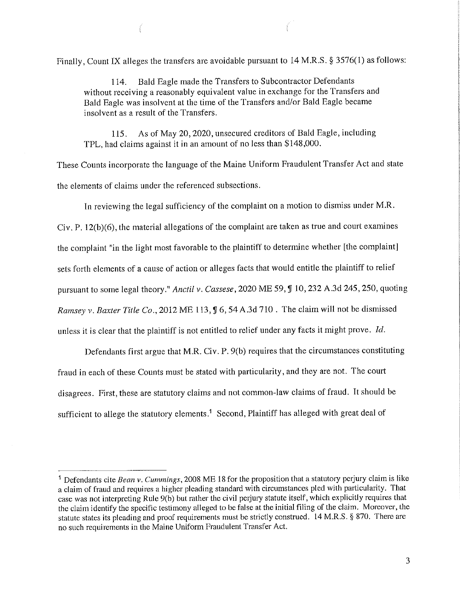Finally, Count IX alleges the transfers are avoidable pursuant to 14 M.R.S. § 3576( 1) as follows:

114. Bald Eagle made the Transfers to Subcontractor Defendants without receiving a reasonably equivalent value in exchange for the Transfers and Bald Eagle was insolvent at the time of the Transfers and/or Bald Eagle became insolvent as a result of the Transfers.

115. As of May 20, 2020, unsecured creditors of Bald Eagle, including TPL, had claims against it in an amount of no less than \$148,000.

These Counts incorporate the language of the Maine Uniform Fraudulent Transfer Act and state the elements of claims under the referenced subsections.

In reviewing the legal sufficiency of the complaint on a motion to dismiss under M.R. Civ. P. 12(b)(6), the material allegations of the complaint are taken as true and court examines the complaint "in the light most favorable to the plaintiff to determine whether [the complaint] sets forth elements of a cause of action or alleges facts that would entitle the plaintiff to relief pursuant to some legal theory." *Anctil v. Cassese*, 2020 ME 59, **J** 10, 232 A.3d 245, 250, quoting *Ramsey v. Baxter Title Co., 2012 ME 113, ¶ 6, 54 A.3d 710. The claim will not be dismissed* unless it is clear that the plaintiff is not entitled to relief under any facts it might prove. *Id.* 

Defendants first argue that M.R. Civ. P. 9(b) requires that the circumstances constituting fraud in each of these Counts must be stated with particularity, and they are not. The court disagrees. First, these are statutory claims and not common-law claims of fraud. It should be sufficient to allege the statutory elements.<sup>1</sup> Second, Plaintiff has alleged with great deal of

3

<sup>&</sup>lt;sup>1</sup> Defendants cite *Bean v. Cummings*, 2008 ME 18 for the proposition that a statutory perjury claim is like a claim of fraud and requires a higher pleading standard with circumstances pied with particularity. That case was not interpreting Rule 9(b) but rather the civil perjury statute itself, which explicitly requires that the claim identify the specific testimony alleged to be false at the initial filing of the claim. Moreover, the statute states its pleading and proof requirements must be strictly construed. 14 M.R.S. § 870. There are no such requirements in the Maine Uniform Fraudulent Transfer Act.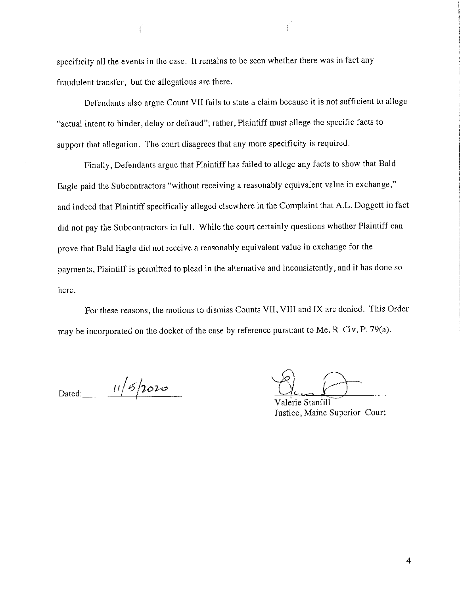specificity all the events in the case. It remains to be seen whether there was in fact any fraudulent transfer, but the allegations are there.

Defendants also argue Count VII fails to state a claim because it is not sufficient to allege "actual intent to hinder, delay or defraud"; rather, Plaintiff must allege the specific facts to support that allegation. The court disagrees that any more specificity is required.

Finally, Defendants argue that Plaintiff has failed to allege any facts to show that Bald Eagle paid the Subcontractors "without receiving a reasonably equivalent value in exchange," and indeed that Plaintiff specifically alleged elsewhere in the Complaint that A.L. Doggett in fact did not pay the Subcontractors in full. While the court certainly questions whether Plaintiff can prove that Bald Eagle did not receive a reasonably equivalent value in exchange for the payments, Plaintiff is permitted to plead in the alternative and inconsistently, and it has done so here.

For these reasons, the motions to dismiss Counts VII, VIII and IX are denied. This Order may be incorporated on the docket of the case by reference pursuant to Me. R. Civ. P. 79(a).

Dated:  $11/5/2020$ <br>Valerie Stanfill

Justice, Maine Superior Court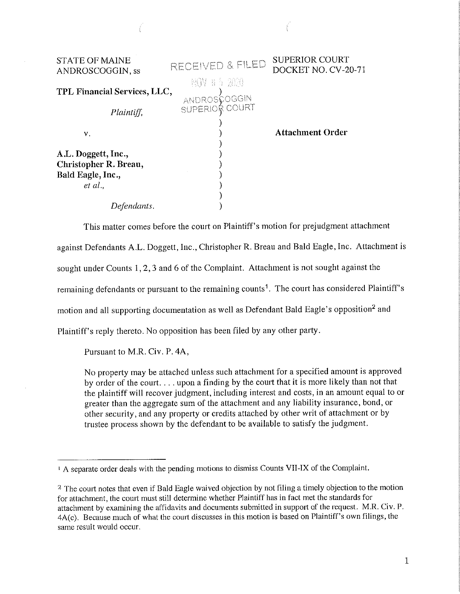| <b>STATE OF MAINE</b><br>ANDROSCOGGIN, ss                                    | RECEIVED & FILED                               | <b>SUPERIOR COURT</b><br>DOCKET NO. CV-20-71 |
|------------------------------------------------------------------------------|------------------------------------------------|----------------------------------------------|
| TPL Financial Services, LLC,<br>Plaintiff,                                   | NGN 8 5 2020<br>ANDROSCOGGIN<br>SUPERIOR COURT |                                              |
| V.                                                                           |                                                | <b>Attachment Order</b>                      |
| A.L. Doggett, Inc.,<br>Christopher R. Breau,<br>Bald Eagle, Inc.,<br>et al., |                                                |                                              |
| tendants.                                                                    |                                                |                                              |

This matter comes before the court on Plaintiff's motion for prejudgment attachment

against Defendants A.L. Doggett, Inc., Christopher R. Breau and Bald Eagle, Inc. Attachment is

sought under Counts 1, 2, 3 and 6 of the Complaint. Attachment is not sought against the

remaining defendants or pursuant to the remaining counts<sup>1</sup>. The court has considered Plaintiff's

motion and all supporting documentation as well as Defendant Bald Eagle's opposition<sup>2</sup> and

Plaintiff's reply thereto. No opposition has been filed by any other party.

Pursuant to M.R. Civ. P. 4A,

No property may be attached unless such attachment for a specified amount is approved by order of the court. ... upon a finding by the court that it is more likely than not that the plaintiff will recover judgment, including interest and costs, in an amount equal to or greater than the aggregate sum of the attachment and any liability insurance, bond, or other security, and any property or credits attached by other writ of attachment or by trustee process shown by the defendant to be available to satisfy the judgment.

<sup>&</sup>lt;sup>1</sup> A separate order deals with the pending motions to dismiss Counts VII-IX of the Complaint.

<sup>&</sup>lt;sup>2</sup> The court notes that even if Bald Eagle waived objection by not filing a timely objection to the motion for attachment, the court must still determine whether Plaintiff has in fact met the standards for attachment by examining the affidavits and documents submitted in support of the request. M.R. Civ. P. 4A(c). Because much of what the court discusses in this motion is based on Plaintiff's own filings, the same result would occur.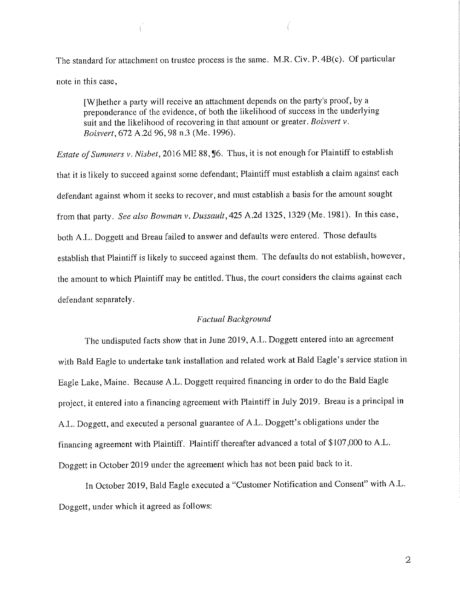The standard for attachment on trustee process is the same. M.R. Civ. P. 4B(c). Of particular note in this case,

[WJhether a party will receive an attachment depends on the party's proof, by a preponderance of the evidence, of both the likelihood of success in the underlying suit and the likelihood of recovering in that amount or greater. *Boisvert v. Boisvert,* 672 A.2d 96, 98 n.3 (Me. 1996).

*Estate of Summers v. Nisbet,* 2016 ME 88, 16. Thus, it is not enough for Plaintiff to establish that it is likely to succeed against some defendant; Plaintiff must establish a claim against each defendant against whom it seeks to recover, and must establish a basis for the amount sought from that party. *See also Bowman v. Dussault,425* A.2d 1325, 1329 (Me. 1981). In this case, both A.L. Doggett and Breau failed to answer and defaults were entered. Those defaults establish that Plaintiff is likely to succeed against them. The defaults do not establish, however, the amount to which Plaintiff may be entitled. Thus, the court considers the claims against each defendant separately.

#### *Factual Background*

The undisputed facts show that in June 2019, A.L. Doggett entered into an agreement with Bald Eagle to undertake tank installation and related work at Bald Eagle's service station in Eagle Lake, Maine. Because A .L. Doggett required financing in order to do the Bald Eagle project, **it** entered into a financing agreement with Plaintiff in July 2019. Breau is a principal in A.L. Doggett, and executed a personal guarantee of A.L. Doggett's obligations under the financing agreement with Plaintiff. Plaintiff thereafter advanced a total of \$107,000 to A.L. Doggett in October 2019 under the agreement which has not been paid back to it.

In October 2019, Bald Eagle executed a "Customer Notification and Consent" with A.L. Doggett, under which **it** agreed as follows:

2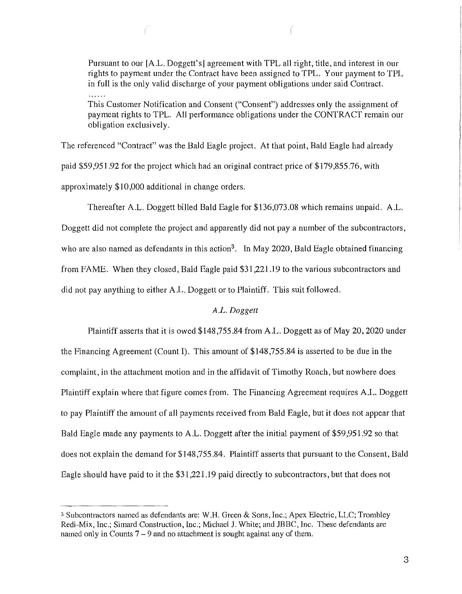Pursuant to our [A.L. Doggett's] agreement with TPL all right, title, and interest in our rights to payment under the Contract have been assigned to TPL. Your payment to TPL in full is the only valid discharge of your payment obligations under said Contract.

This Customer Notification and Consent ("Consent") addresses only the assignment of payment rights to TPL. All petformance obligations under the CONTRACT remain our obligation exclusively.

The referenced "Contract" was the Bald Eagle project. At that point, Bald Eagle had already paid \$59,951.92 for the project which had an original contract price of \$179,855.76, with approximately \$10,000 additional in change orders.

Thereafter A.L. Doggett billed Bald Eagle for \$136,073.08 which remains unpaid. A.L. Doggett did not complete the project and apparently did not pay a number of the subcontractors, who are also named as defendants in this action<sup>3</sup>. In May 2020, Bald Eagle obtained financing from FAME. When they closed, Bald Eagle paid \$31,221.19 to the various subcontractors and did not pay anything to either A.L. Doggett or to Plaintiff. This suit followed.

### *A.L. Doggett*

Plaintiff asserts that it is owed \$148,755.84 from A.L. Doggett as of May 20, 2020 under the Financing Agreement (Count I). This amount of \$148,755.84 is asserted to be due in the complaint, in the attachment motion and in the affidavit of Timothy Roach, but nowhere does Plaintiff explain where that figure comes from. The Financing Agreement requires A.L. Doggett to pay Plaintiff the amount of all payments received from Bald Eagle, but it does not appear that Bald Eagle made any payments to A.L. Doggett after the initial payment of \$59,951.92 so that does not explain the demand for \$148,755.84. Plaintiff asserts that pursuant to the Consent, Bald Eagle should have paid to it the \$31,221.19 paid directly to subcontractors, but that does not

<sup>&</sup>lt;sup>3</sup> Subcontractors named as defendants are: W.H. Green & Sons, Inc.; Apex Electric, LLC; Trombley Redi-Mix, Inc.; Simard Construction, Inc.; Michael J. White; and JBBC, Inc. These defendants are named only in Counts 7 – 9 and no attachment is sought against any of them.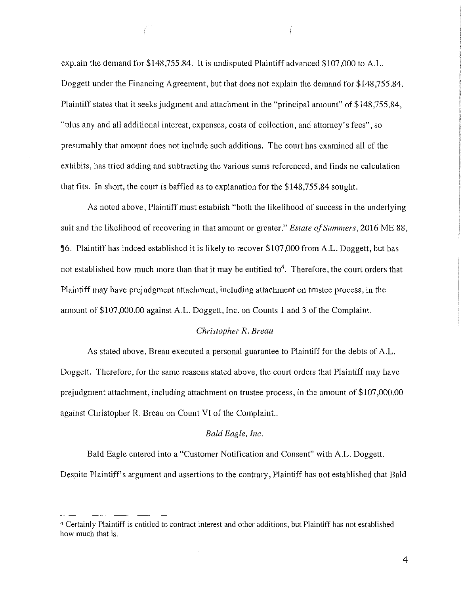explain the demand for \$148,755.84. It is undisputed Plaintiff advanced \$107,000 to A.L. Doggett under the Financing Agreement, but that does not explain the demand for \$148,755.84. Plaintiff states that it seeks judgment and attachment in the "principal amount" of \$148,755.84, "plus any and all additional interest, expenses, costs of collection, and attorney's fees", so presumably that amount does not include such additions. The court has examined all of the exhibits, has tried adding and subtracting the various sums referenced, and finds no calculation that fits. In short, the court is baffled as to explanation for the \$148,755.84 sought.

As noted above, Plaintiff must establish "both the likelihood of success in the underlying suit and the likelihood of recovering in that amount or greater." *Estate ofSummers,* 2016 ME 88, ~6. Plaintiff has indeed established it is likely to recover \$107,000 from A.L. Doggett, but has not established how much more than that it may be entitled to<sup>4</sup>. Therefore, the court orders that Plaintiff may have prejudgment attachment, including attachment on trustee process, in the amount of \$107,000.00 against A.L. Doggett, Inc. on Counts 1 and 3 of the Complaint.

### *Christopher R. Breau*

As stated above, Breau executed a personal guarantee to Plaintiff for the debts of A.L. Doggett. Therefore, for the same reasons stated above, the court orders that Plaintiff may have prejudgment attachment, including attachment on trustee process, in the amount of \$107,000.00 against Christopher R. Breau on Count VI of the Complaint..

#### *Bald Eagle, Inc.*

Bald Eagle entered into a "Customer Notification and Consent" with A.L. Doggett. Despite Plaintiff's argument and assertions to the contrary, Plaintiff has not established that Bald

<sup>4</sup>Certainly Plaintiff is entitled to contract interest and other additions, but Plaintiff has not established how much that is.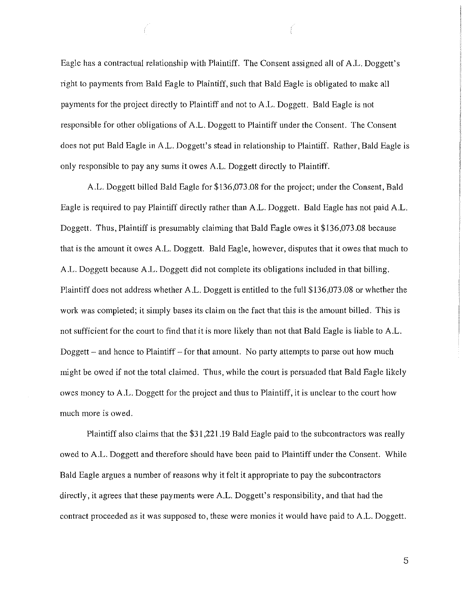Eagle has a contractual relationship with Plaintiff. The Consent assigned all of A .L. Doggett's right to payments from Bald Eagle to Plaintiff, such that Bald Eagle is obligated to make all payments for the project directly to Plaintiff and not to A .L. Doggett. Bald Eagle is not responsible for other obligations of A.L. Doggett to Plaintiff under the Consent. The Consent does not put Bald Eagle in A .L. Doggett's stead in relationship to Plaintiff. Rather, Bald Eagle is only responsible to pay any sums it owes A.L. Doggett directly to Plaintiff.

A.L. Doggett billed Bald Eagle for \$136,073.08 for the project; under the Consent, Bald Eagle is required to pay Plaintiff directly rather than A.L. Doggett. Bald Eagle has not paid A.L. Doggett. Thus, Plaintiff is presumably claiming that Bald Eagle owes it \$136,073.08 because that is the amount it owes A.L. Doggett. Bald Eagle, however, disputes that it owes that much to A.L. Doggett because A.L. Doggett did not complete its obligations included in that billing. Plaintiff does not address whether A.L. Doggett is entitled to the full \$136,073.08 or whether the work was completed; it simply bases its claim on the fact that this is the amount billed. This is not sufficient for the court to find that it is more likely than not that Bald Eagle is liable to A.L. Doggett – and hence to Plaintiff – for that amount. No party attempts to parse out how much might be owed if not the total claimed. Thus, while the court is persuaded that Bald Eagle likely owes money to A.L. Doggett for the project and thus to Plaintiff, it is unclear to the court how much more is owed.

Plaintiff also claims that the \$31,221.19 Bald Eagle paid to the subcontractors was really owed to A.L. Doggett and therefore should have been paid to Plaintiff under the Consent. While Bald Eagle argues a number of reasons why it felt it appropriate to pay the subcontractors directly, it agrees that these payments were A.L. Doggett's responsibility, and that had the contract proceeded as it was supposed to, these were monies it would have paid to A.L. Doggett.

5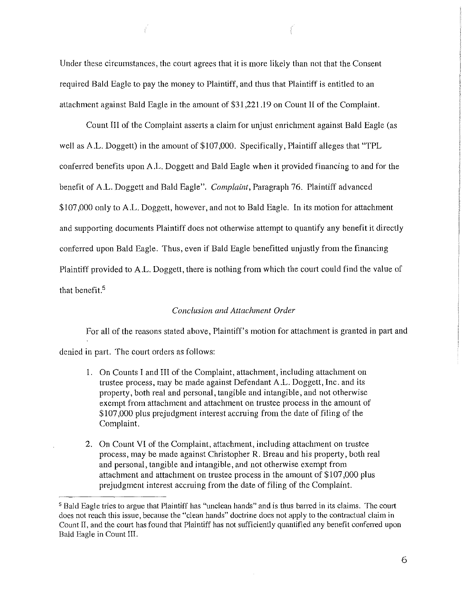Under these circumstances, the court agrees that it is more likely than not that the Consent required Bald Eagle to pay the money to Plaintiff, and thus that Plaintiff is entitled to an attachment against Bald Eagle in the amount of \$31,221.19 on Count II of the Complaint.

Ť

Count III of the Complaint asserts a claim for unjust enrichment against Bald Eagle (as well as A.L. Doggett) in the amount of \$107,000. Specifically, Plaintiff alleges that "TPL conferred benefits upon A.L. Doggett and Bald Eagle when it provided financing to and for the benefit of A.L. Doggett and Bald Eagle". *Complaint,* Paragraph 76. Plaintiff advanced \$107,000 only to A.L. Doggett, however, and not to Bald Eagle. In its motion for attachment and supporting documents Plaintiff does not otherwise attempt to quantify any benefit it directly conferred upon Bald Eagle. Thus, even if Bald Eagle benefitted unjustly from the financing Plaintiff provided to A.L. Doggett, there is nothing from which the court could find the value of that benefit.<sup>5</sup>

## *Conclusion and Attachment Order*

For all of the reasons stated above, Plaintiff's motion for attachment is granted in part and denied in part. The court orders as follows:

- 1. On Counts I and III of the Complaint, attachment, including attachment on trustee process, may be made against Defendant A.L. Doggett, Inc. and its property, both real and personal, tangible and intangible, and not otherwise exempt from attachment and attachment on trustee process in the amount of \$107,000 plus prejudgment interest accruing from the date of filing of the Complaint.
- 2. On Count VI of the Complaint, attachment, including attachment on trustee process, may be made against Christopher R. Breau and his property, both real and personal, tangible and intangible, and not otherwise exempt from attachment and attachment on trustee process in the amount of \$107,000 plus prejudgment interest accruing from the date of filing of the Complaint.

<sup>&</sup>lt;sup>5</sup> Bald Eagle tries to argue that Plaintiff has "unclean hands" and is thus barred in its claims. The court does not reach this issue, because the "clean hands" doctrine does not apply to the contractual claim in Count II, and the court has found that Plaintiff has not sufficiently quantified any benefit conferred upon Bald Eagle in Count Ill.